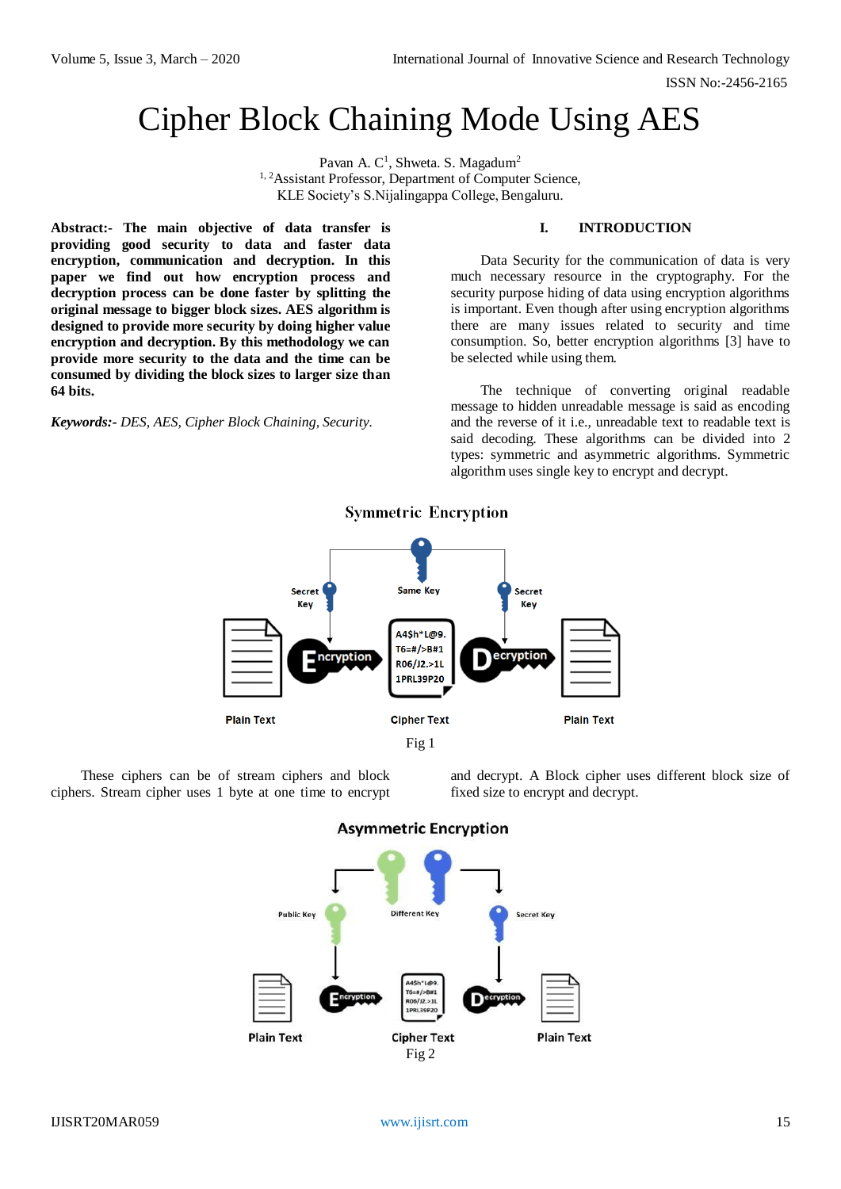ISSN No:-2456-2165

# Cipher Block Chaining Mode Using AES

Pavan A. C<sup>1</sup>, Shweta. S. Magadum<sup>2</sup> <sup>1, 2</sup>Assistant Professor, Department of Computer Science, KLE Society's S.Nijalingappa College, Bengaluru.

**Abstract:- The main objective of data transfer is providing good security to data and faster data encryption, communication and decryption. In this paper we find out how encryption process and decryption process can be done faster by splitting the original message to bigger block sizes. AES algorithm is designed to provide more security by doing higher value encryption and decryption. By this methodology we can provide more security to the data and the time can be consumed by dividing the block sizes to larger size than 64 bits.** 

*Keywords:- DES, AES, Cipher Block Chaining, Security.*

# **I. INTRODUCTION**

Data Security for the communication of data is very much necessary resource in the cryptography. For the security purpose hiding of data using encryption algorithms is important. Even though after using encryption algorithms there are many issues related to security and time consumption. So, better encryption algorithms [3] have to be selected while using them.

The technique of converting original readable message to hidden unreadable message is said as encoding and the reverse of it i.e., unreadable text to readable text is said decoding. These algorithms can be divided into 2 types: symmetric and asymmetric algorithms. Symmetric algorithm uses single key to encrypt and decrypt.



# **Symmetric Encryption**

These ciphers can be of stream ciphers and block

and decrypt. A Block cipher uses different block size of fixed size to encrypt and decrypt.



ciphers. Stream cipher uses 1 byte at one time to encrypt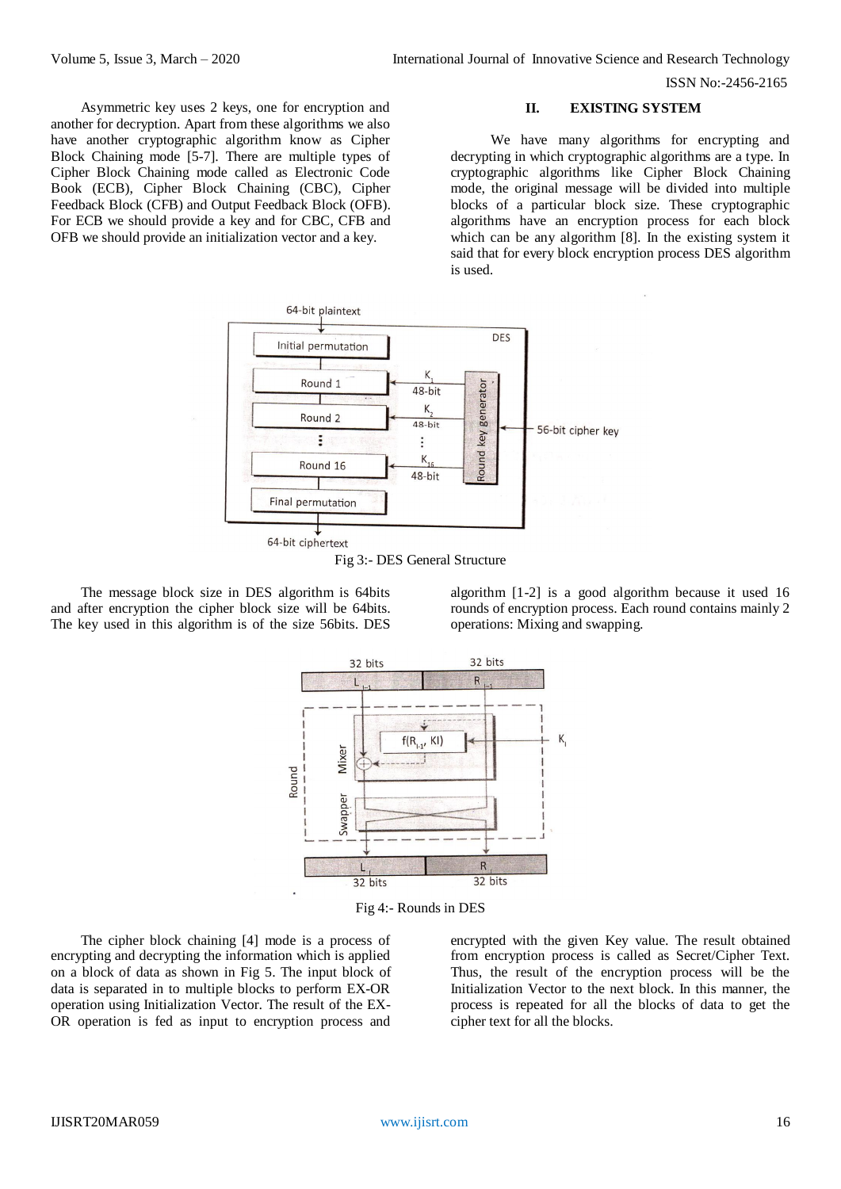Asymmetric key uses 2 keys, one for encryption and another for decryption. Apart from these algorithms we also have another cryptographic algorithm know as Cipher Block Chaining mode [5-7]. There are multiple types of Cipher Block Chaining mode called as Electronic Code Book (ECB), Cipher Block Chaining (CBC), Cipher Feedback Block (CFB) and Output Feedback Block (OFB). For ECB we should provide a key and for CBC, CFB and OFB we should provide an initialization vector and a key.

ISSN No:-2456-2165

**II. EXISTING SYSTEM**

We have many algorithms for encrypting and decrypting in which cryptographic algorithms are a type. In cryptographic algorithms like Cipher Block Chaining mode, the original message will be divided into multiple blocks of a particular block size. These cryptographic algorithms have an encryption process for each block which can be any algorithm [8]. In the existing system it said that for every block encryption process DES algorithm is used.





The message block size in DES algorithm is 64bits and after encryption the cipher block size will be 64bits. The key used in this algorithm is of the size 56bits. DES

algorithm [1-2] is a good algorithm because it used 16 rounds of encryption process. Each round contains mainly 2 operations: Mixing and swapping.



Fig 4:- Rounds in DES

The cipher block chaining [4] mode is a process of encrypting and decrypting the information which is applied on a block of data as shown in Fig 5. The input block of data is separated in to multiple blocks to perform EX-OR operation using Initialization Vector. The result of the EX-OR operation is fed as input to encryption process and

encrypted with the given Key value. The result obtained from encryption process is called as Secret/Cipher Text. Thus, the result of the encryption process will be the Initialization Vector to the next block. In this manner, the process is repeated for all the blocks of data to get the cipher text for all the blocks.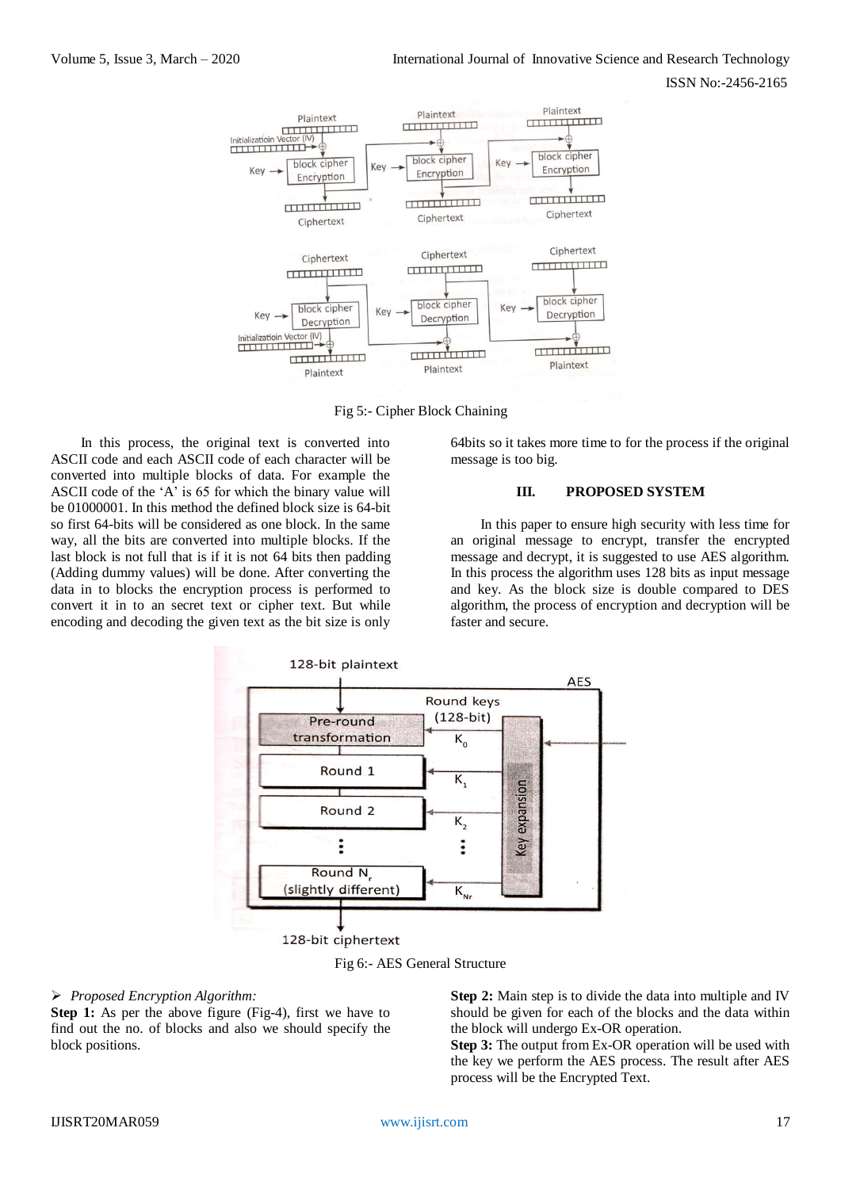ISSN No:-2456-2165



Fig 5:- Cipher Block Chaining

In this process, the original text is converted into ASCII code and each ASCII code of each character will be converted into multiple blocks of data. For example the ASCII code of the 'A' is 65 for which the binary value will be 01000001. In this method the defined block size is 64-bit so first 64-bits will be considered as one block. In the same way, all the bits are converted into multiple blocks. If the last block is not full that is if it is not 64 bits then padding (Adding dummy values) will be done. After converting the data in to blocks the encryption process is performed to convert it in to an secret text or cipher text. But while encoding and decoding the given text as the bit size is only

64bits so it takes more time to for the process if the original message is too big.

## **III. PROPOSED SYSTEM**

In this paper to ensure high security with less time for an original message to encrypt, transfer the encrypted message and decrypt, it is suggested to use AES algorithm. In this process the algorithm uses 128 bits as input message and key. As the block size is double compared to DES algorithm, the process of encryption and decryption will be faster and secure.



Fig 6:- AES General Structure

### *Proposed Encryption Algorithm:*

**Step 1:** As per the above figure (Fig-4), first we have to find out the no. of blocks and also we should specify the block positions.

**Step 2:** Main step is to divide the data into multiple and IV should be given for each of the blocks and the data within the block will undergo Ex-OR operation.

**Step 3:** The output from Ex-OR operation will be used with the key we perform the AES process. The result after AES process will be the Encrypted Text.